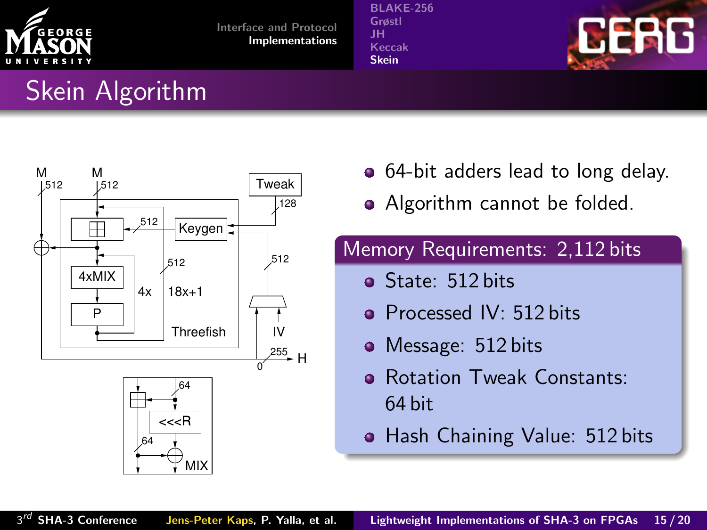

[BLAKE-256](#page-30-0) [Grøstl](#page-33-0) [JH](#page-36-0) Keccak [Skein](#page-42-0)



# Skein Algorithm



- 64-bit adders lead to long delay.
- Algorithm cannot be folded.

### Memory Requirements: 2,112 bits

- State: 512 bits
- **Processed IV: 512 bits**
- Message: 512 bits
- **e** Rotation Tweak Constants: 64 bit
- <span id="page-42-0"></span>• Hash Chaining Value: 512 bits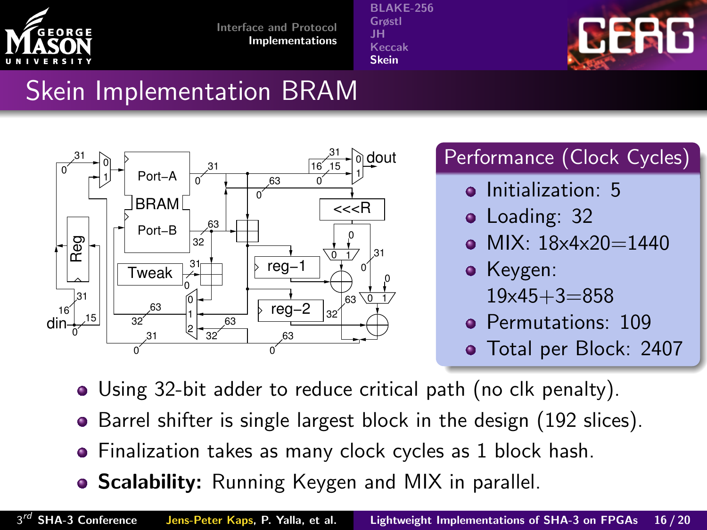

[BLAKE-256](#page-30-0) [Grøstl](#page-33-0) [JH](#page-36-0) [Keccak](#page-39-0) [Skein](#page-42-0)



# Skein Implementation BRAM



## Performance (Clock Cycles)

- **o** Initialization: 5
- Loading: 32
- $\bullet$  MIX: 18x4x20=1440
- Keygen:
	- $19x45+3=858$
- **Permutations: 109**
- Total per Block: 2407
- Using 32-bit adder to reduce critical path (no clk penalty).
- Barrel shifter is single largest block in the design (192 slices).
- Finalization takes as many clock cycles as 1 block hash.
- **Scalability:** Running Keygen and MIX in parallel.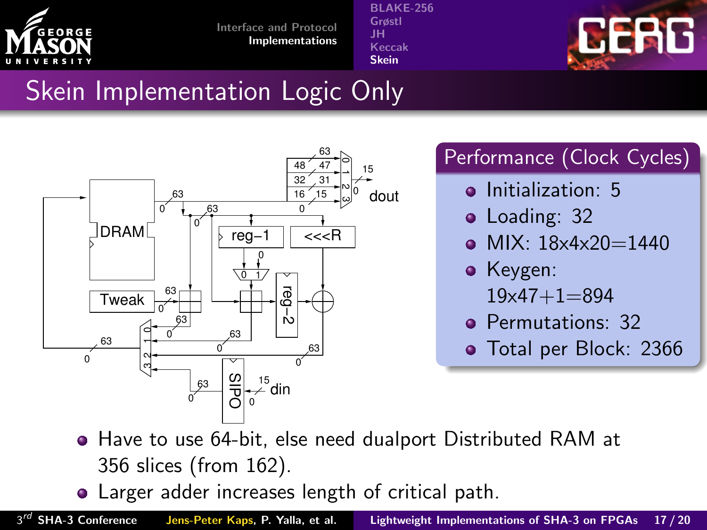

[BLAKE-256](#page-30-0) [Grøstl](#page-33-0) [JH](#page-36-0) [Keccak](#page-39-0) [Skein](#page-42-0)



# Skein Implementation Logic Only



### Performance (Clock Cycles)

- **o** Initialization: 5
- Loading: 32
- $\bullet$  MIX: 18x4x20=1440
- Keygen:
	- 19x47+1=894
- **Permutations: 32**
- Total per Block: 2366

- Have to use 64-bit, else need dualport Distributed RAM at 356 slices (from 162).
- Larger adder increases length of critical path.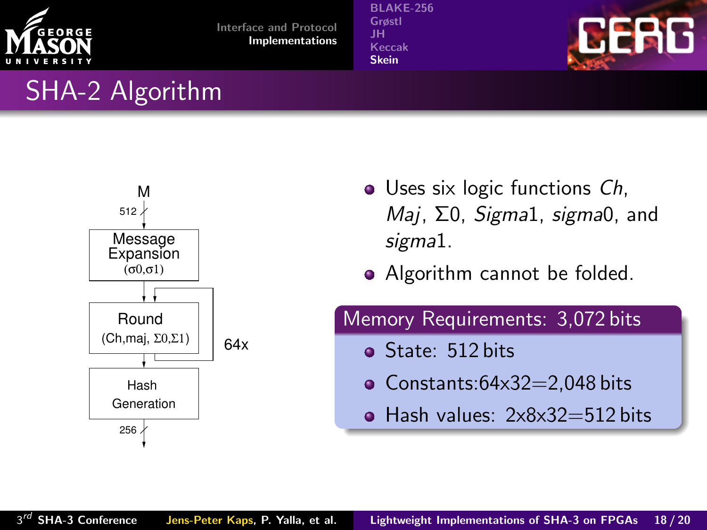

[BLAKE-256](#page-30-0) [Grøstl](#page-33-0) [JH](#page-36-0) [Keccak](#page-39-0) [Skein](#page-42-0)



## SHA-2 Algorithm



- Uses six logic functions *Ch*, Maj, Σ0, Sigma1, sigma0, and sigma1.
- Algorithm cannot be folded.

#### Memory Requirements: 3,072 bits

- **o** State: 512 bits
- $\bullet$  Constants:64x32=2,048 bits
- $\bullet$  Hash values:  $2 \times 8 \times 32 = 512$  bits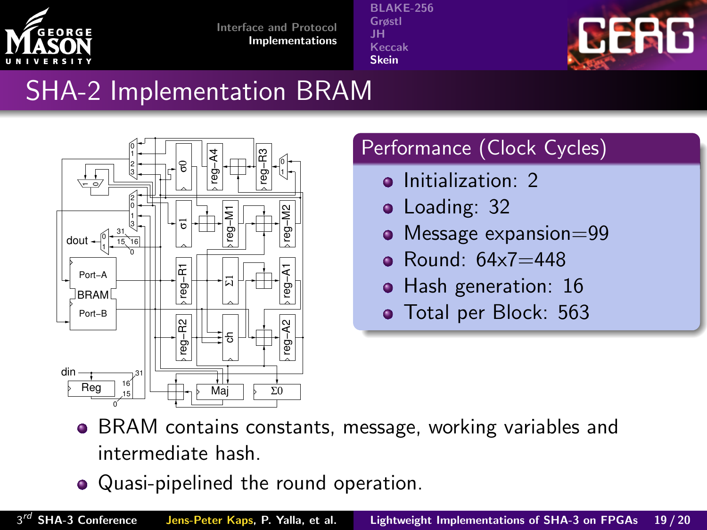

[BLAKE-256](#page-30-0) [Grøstl](#page-33-0) [JH](#page-36-0) [Keccak](#page-39-0) [Skein](#page-42-0)



# SHA-2 Implementation BRAM



## Performance (Clock Cycles)

- o Initialization: 2
- Loading: 32  $\bullet$
- Message expansion=99  $\bullet$
- Round: 64x7=448 ò.
- Hash generation: 16  $\bullet$
- Total per Block: 563

- BRAM contains constants, message, working variables and intermediate hash.
- Quasi-pipelined the round operation.